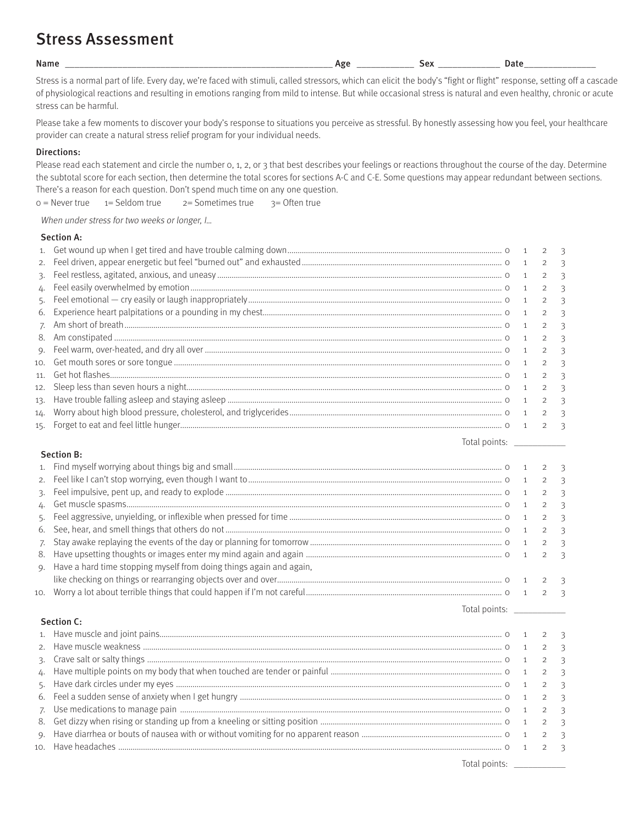# Stress Assessment

Name \_\_\_\_\_\_\_\_\_\_\_\_\_\_\_\_\_\_\_\_\_\_\_\_\_\_\_\_\_\_\_\_\_\_\_\_\_\_\_\_\_\_\_\_\_\_\_\_\_\_\_\_\_\_\_\_ Age \_\_\_\_\_\_\_\_\_\_\_\_ Sex \_\_\_\_\_\_\_\_\_\_\_\_\_ Date \_\_\_\_\_\_\_\_\_\_\_\_\_\_\_

Stress is a normal part of life. Every day, we're faced with stimuli, called stressors, which can elicit the body's "fight or flight" response, setting off a cascade of physiological reactions and resulting in emotions ranging from mild to intense. But while occasional stress is natural and even healthy, chronic or acute stress can be harmful.

Please take a few moments to discover your body's response to situations you perceive as stressful. By honestly assessing how you feel, your healthcare provider can create a natural stress relief program for your individual needs.

#### Directions:

Please read each statement and circle the number 0, 1, 2, or 3 that best describes your feelings or reactions throughout the course of the day. Determine the subtotal score for each section, then determine the total scores for sections A-C and C-E. Some questions may appear redundant between sections. There's a reason for each question. Don't spend much time on any one question.

 $0 =$  Never true  $1 =$  Seldom true  $2 =$  Sometimes true  $3 =$  Often true

When under stress for two weeks or longer, I...

#### Section A:

|    |  | 3 |
|----|--|---|
| 3. |  |   |
|    |  | 3 |
| 5. |  |   |
| 6. |  | 3 |
|    |  |   |
|    |  | 3 |
|    |  |   |
|    |  | 3 |
|    |  |   |
|    |  |   |
|    |  |   |
|    |  |   |
|    |  |   |
|    |  |   |

#### Section B:

| 9. Have a hard time stopping myself from doing things again and again, |  |  |
|------------------------------------------------------------------------|--|--|
|                                                                        |  |  |
|                                                                        |  |  |

Section C:

1. Have muscle and joint pains...................................................................................................................................................................... 0 1 2 3 2. Have muscle weakness .............................................................................................................................................................................. 0 1 2 3 3. Crave salt or salty things ............................................................................................................................................................................ 0 1 2 3 4. Have multiple points on my body that when touched are tender or painful ................................................................................... 0 1 2 3 5. Have dark circles under my eyes .............................................................................................................................................................. 0 1 2 3 6. Feel a sudden sense of anxiety when I get hungry ............................................................................................................................... 0 1 2 3 7. Use medications to manage pain ............................................................................................................................................................ 0 1 2 3 8. Get dizzy when rising or standing up from a kneeling or sitting position ........................................................................................ 0 1 2 3 9. Have diarrhea or bouts of nausea with or without vomiting for no apparent reason .................................................................... 0 1 2 3 10. Have headaches .......................................................................................................................................................................................... 0 1 2 3

Total points: \_\_\_\_\_\_\_\_\_\_\_

Total points:

Total points: \_\_\_\_\_\_\_\_\_\_\_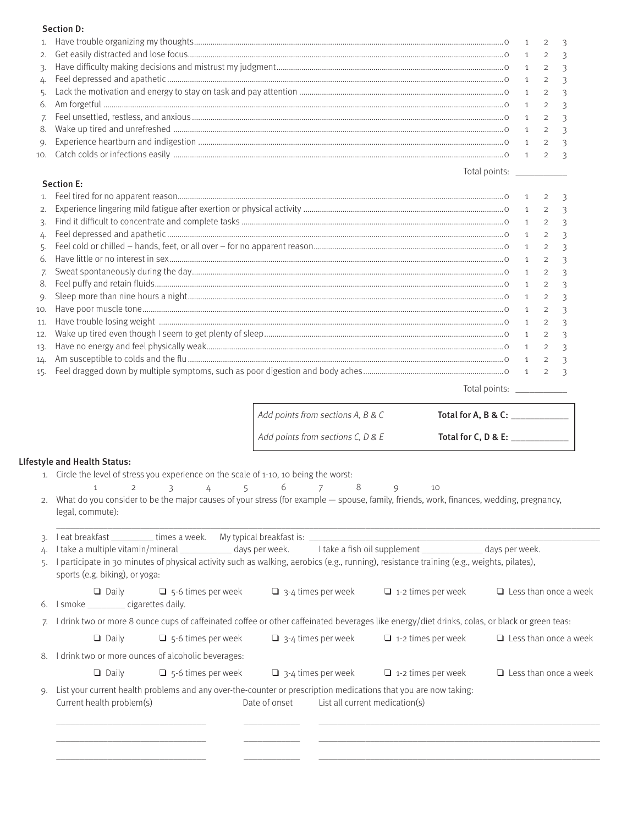#### Section D:

### Section E:

| 2.  |  | 3 |
|-----|--|---|
|     |  |   |
| 4.  |  |   |
|     |  |   |
| 6.  |  |   |
| 7.  |  | 3 |
|     |  |   |
|     |  | 3 |
|     |  |   |
|     |  |   |
|     |  |   |
|     |  |   |
|     |  |   |
| 15. |  |   |
|     |  |   |

Total points: \_\_\_\_\_\_\_\_\_\_\_\_\_

Total points: \_\_\_\_\_\_\_\_\_\_\_

| Add points from sections A, B & C | Total for A, B & C: |
|-----------------------------------|---------------------|
| Add points from sections C, D & E | Total for C, D & E: |

#### LIfestyle and Health Status:

- 1. Circle the level of stress you experience on the scale of 1-10, 10 being the worst:
	- 1 2 3 4 5 6 7 8 9 10
- 2. What do you consider to be the major causes of your stress (for example spouse, family, friends, work, finances, wedding, pregnancy, legal, commute):

 $\_$  , and the set of the set of the set of the set of the set of the set of the set of the set of the set of the set of the set of the set of the set of the set of the set of the set of the set of the set of the set of th

| 3. |                                                        | I eat breakfast _____________times a week. My typical breakfast is: ______                                      |                           |                                                                                                                                               |                              |
|----|--------------------------------------------------------|-----------------------------------------------------------------------------------------------------------------|---------------------------|-----------------------------------------------------------------------------------------------------------------------------------------------|------------------------------|
|    |                                                        |                                                                                                                 |                           | take a multiple vitamin/mineral ________________days per week. I take a fish oil supplement __________________days per week.                  |                              |
|    | sports (e.g. biking), or yoga:                         |                                                                                                                 |                           | participate in 30 minutes of physical activity such as walking, aerobics (e.g., running), resistance training (e.g., weights, pilates),       |                              |
| 6. | $\Box$ Daily<br>I smoke ____________ cigarettes daily. | $\Box$ 5-6 times per week                                                                                       | $\Box$ 3-4 times per week | $\Box$ 1-2 times per week                                                                                                                     | $\Box$ Less than once a week |
|    |                                                        |                                                                                                                 |                           | I drink two or more 8 ounce cups of caffeinated coffee or other caffeinated beverages like energy/diet drinks, colas, or black or green teas: |                              |
|    | $\Box$ Daily                                           | $\Box$ 5-6 times per week                                                                                       | $\Box$ 3-4 times per week | $\Box$ 1-2 times per week                                                                                                                     | $\Box$ Less than once a week |
| 8. |                                                        | I drink two or more ounces of alcoholic beverages:                                                              |                           |                                                                                                                                               |                              |
|    | $\Box$ Daily                                           | $\Box$ 5-6 times per week                                                                                       | $\Box$ 3-4 times per week | $\Box$ 1-2 times per week                                                                                                                     | $\Box$ Less than once a week |
|    | Current health problem(s)                              | List your current health problems and any over-the-counter or prescription medications that you are now taking. | Date of onset             | List all current medication(s)                                                                                                                |                              |

 \_\_\_\_\_\_\_\_\_\_\_\_\_\_\_\_\_\_\_\_\_\_\_\_\_\_\_\_\_\_\_\_ \_\_\_\_\_\_\_\_\_\_\_\_ \_\_\_\_\_\_\_\_\_\_\_\_\_\_\_\_\_\_\_\_\_\_\_\_\_\_\_\_\_\_\_\_\_\_\_\_\_\_\_\_\_\_\_\_\_\_\_\_\_\_\_\_\_\_\_\_\_\_\_\_ \_\_\_\_\_\_\_\_\_\_\_\_\_\_\_\_\_\_\_\_\_\_\_\_\_\_\_\_\_\_\_\_ \_\_\_\_\_\_\_\_\_\_\_\_ \_\_\_\_\_\_\_\_\_\_\_\_\_\_\_\_\_\_\_\_\_\_\_\_\_\_\_\_\_\_\_\_\_\_\_\_\_\_\_\_\_\_\_\_\_\_\_\_\_\_\_\_\_\_\_\_\_\_\_\_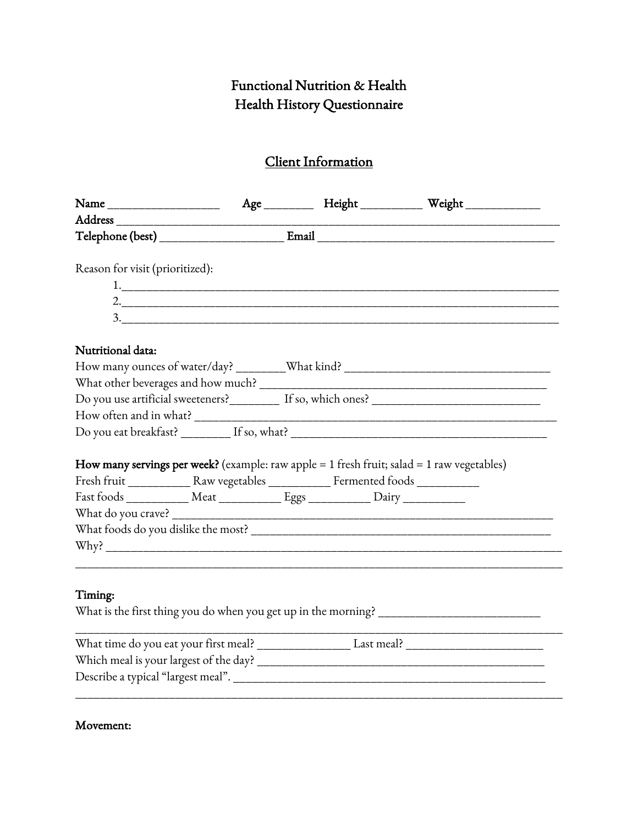# Functional Nutrition & Health Health History Questionnaire

# Client Information

|                                                                                    |  |  |  | Age ___________ Height ____________ Weight ______________                                      |  |  |  |  |
|------------------------------------------------------------------------------------|--|--|--|------------------------------------------------------------------------------------------------|--|--|--|--|
|                                                                                    |  |  |  |                                                                                                |  |  |  |  |
|                                                                                    |  |  |  |                                                                                                |  |  |  |  |
| Reason for visit (prioritized):                                                    |  |  |  |                                                                                                |  |  |  |  |
|                                                                                    |  |  |  |                                                                                                |  |  |  |  |
|                                                                                    |  |  |  |                                                                                                |  |  |  |  |
|                                                                                    |  |  |  |                                                                                                |  |  |  |  |
| Nutritional data:                                                                  |  |  |  |                                                                                                |  |  |  |  |
|                                                                                    |  |  |  |                                                                                                |  |  |  |  |
|                                                                                    |  |  |  |                                                                                                |  |  |  |  |
|                                                                                    |  |  |  |                                                                                                |  |  |  |  |
|                                                                                    |  |  |  |                                                                                                |  |  |  |  |
|                                                                                    |  |  |  |                                                                                                |  |  |  |  |
|                                                                                    |  |  |  | How many servings per week? (example: raw apple = $1$ fresh fruit; salad = $1$ raw vegetables) |  |  |  |  |
|                                                                                    |  |  |  |                                                                                                |  |  |  |  |
| Fast foods ______________ Meat ______________ Eggs _____________ Dairy ___________ |  |  |  |                                                                                                |  |  |  |  |
|                                                                                    |  |  |  |                                                                                                |  |  |  |  |
|                                                                                    |  |  |  |                                                                                                |  |  |  |  |
|                                                                                    |  |  |  |                                                                                                |  |  |  |  |
|                                                                                    |  |  |  |                                                                                                |  |  |  |  |
| Timing:                                                                            |  |  |  |                                                                                                |  |  |  |  |
|                                                                                    |  |  |  |                                                                                                |  |  |  |  |
|                                                                                    |  |  |  | What time do you eat your first meal? Last meal? Last meal?                                    |  |  |  |  |
|                                                                                    |  |  |  |                                                                                                |  |  |  |  |
|                                                                                    |  |  |  |                                                                                                |  |  |  |  |
|                                                                                    |  |  |  |                                                                                                |  |  |  |  |

# Movement: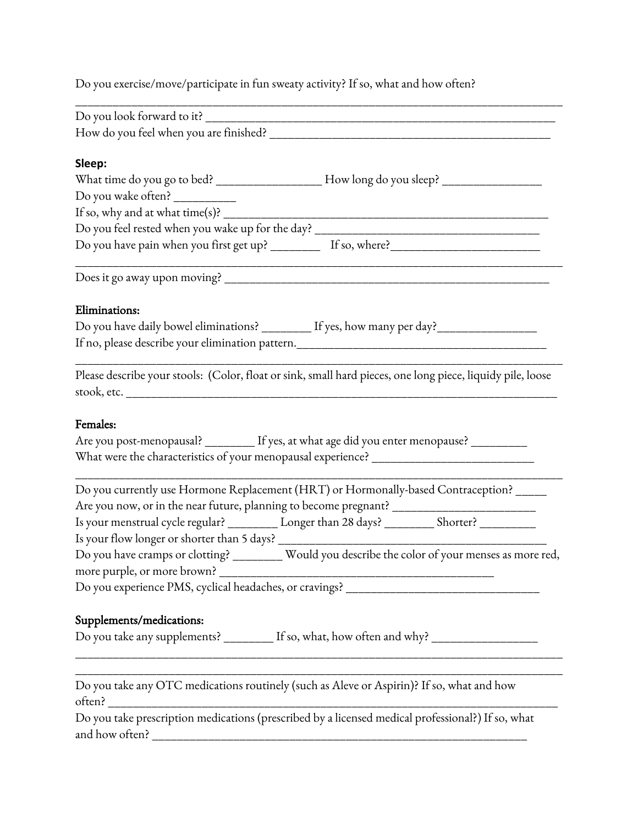Do you exercise/move/participate in fun sweaty activity? If so, what and how often?

| Sleep:                                                                                                     |
|------------------------------------------------------------------------------------------------------------|
| What time do you go to bed? ______________________How long do you sleep? __________________________        |
| Do you wake often? ___________                                                                             |
| If so, why and at what time(s)? $\frac{1}{\sqrt{2\pi}}$                                                    |
|                                                                                                            |
| Do you have pain when you first get up? ____________ If so, where?_________________________________        |
|                                                                                                            |
| Eliminations:                                                                                              |
| Do you have daily bowel eliminations? _________ If yes, how many per day?__________________                |
|                                                                                                            |
|                                                                                                            |
| Please describe your stools: (Color, float or sink, small hard pieces, one long piece, liquidy pile, loose |
| Females:                                                                                                   |
| Are you post-menopausal? _________ If yes, at what age did you enter menopause? _________                  |
|                                                                                                            |
|                                                                                                            |
| Do you currently use Hormone Replacement (HRT) or Hormonally-based Contraception? _____                    |
| Are you now, or in the near future, planning to become pregnant? ___________________________________       |
| Is your menstrual cycle regular? _________ Longer than 28 days? ________ Shorter? _________                |
| Is your flow longer or shorter than 5 days? _____________________                                          |
| Do you have cramps or clotting? _________ Would you describe the color of your menses as more red,         |
|                                                                                                            |
| Do you experience PMS, cyclical headaches, or cravings? _______________________________                    |
|                                                                                                            |
| Supplements/medications:                                                                                   |
| Do you take any supplements? ________ If so, what, how often and why? ________________                     |
|                                                                                                            |
| Do you take any OTC medications routinely (such as Aleve or Aspirin)? If so, what and how                  |
|                                                                                                            |
| Do you take prescription medications (prescribed by a licensed medical professional?) If so, what          |
| and how often?                                                                                             |
|                                                                                                            |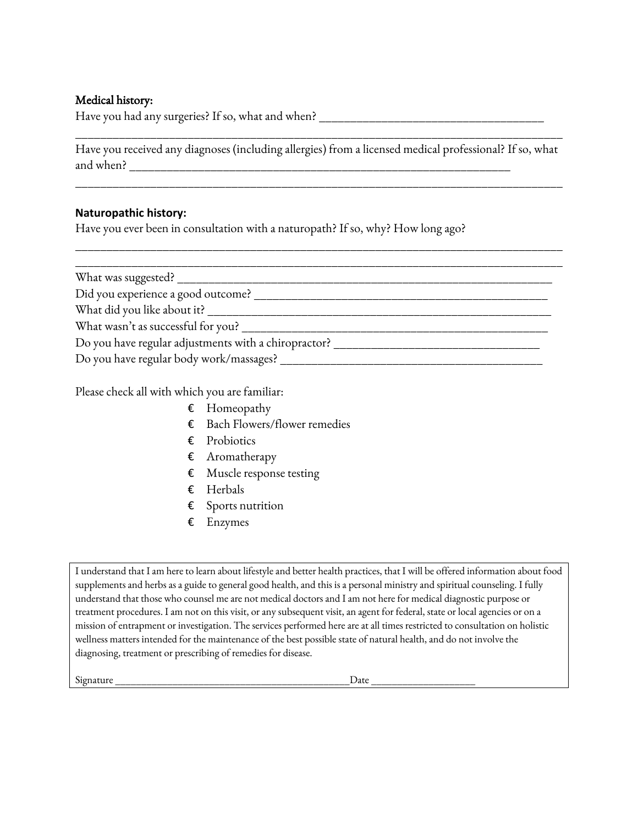### Medical history:

Have you had any surgeries? If so, what and when?

Have you received any diagnoses (including allergies) from a licensed medical professional? If so, what and when?

\_\_\_\_\_\_\_\_\_\_\_\_\_\_\_\_\_\_\_\_\_\_\_\_\_\_\_\_\_\_\_\_\_\_\_\_\_\_\_\_\_\_\_\_\_\_\_\_\_\_\_\_\_\_\_\_\_\_\_\_\_\_\_\_\_\_\_\_\_\_\_\_\_\_\_\_\_\_

\_\_\_\_\_\_\_\_\_\_\_\_\_\_\_\_\_\_\_\_\_\_\_\_\_\_\_\_\_\_\_\_\_\_\_\_\_\_\_\_\_\_\_\_\_\_\_\_\_\_\_\_\_\_\_\_\_\_\_\_\_\_\_\_\_\_\_\_\_\_\_\_\_\_\_\_\_\_

\_\_\_\_\_\_\_\_\_\_\_\_\_\_\_\_\_\_\_\_\_\_\_\_\_\_\_\_\_\_\_\_\_\_\_\_\_\_\_\_\_\_\_\_\_\_\_\_\_\_\_\_\_\_\_\_\_\_\_\_\_\_\_\_\_\_\_\_\_\_\_\_\_\_\_\_\_\_

### **Naturopathic history:**

Have you ever been in consultation with a naturopath? If so, why? How long ago?

| What was suggested?                                  |  |  |  |  |
|------------------------------------------------------|--|--|--|--|
| Did you experience a good outcome?                   |  |  |  |  |
| What did you like about it?                          |  |  |  |  |
| What wasn't as successful for you?                   |  |  |  |  |
| Do you have regular adjustments with a chiropractor? |  |  |  |  |
| Do you have regular body work/massages?              |  |  |  |  |

Please check all with which you are familiar:

- € Homeopathy
- € Bach Flowers/flower remedies
- € Probiotics
- € Aromatherapy
- € Muscle response testing
- € Herbals
- € Sports nutrition
- € Enzymes

I understand that I am here to learn about lifestyle and better health practices, that I will be offered information about food supplements and herbs as a guide to general good health, and this is a personal ministry and spiritual counseling. I fully understand that those who counsel me are not medical doctors and I am not here for medical diagnostic purpose or treatment procedures. I am not on this visit, or any subsequent visit, an agent for federal, state or local agencies or on a mission of entrapment or investigation. The services performed here are at all times restricted to consultation on holistic wellness matters intended for the maintenance of the best possible state of natural health, and do not involve the diagnosing, treatment or prescribing of remedies for disease.

Signature \_\_\_\_\_\_\_\_\_\_\_\_\_\_\_\_\_\_\_\_\_\_\_\_\_\_\_\_\_\_\_\_\_\_\_\_\_\_\_\_\_\_\_\_\_Date \_\_\_\_\_\_\_\_\_\_\_\_\_\_\_\_\_\_\_\_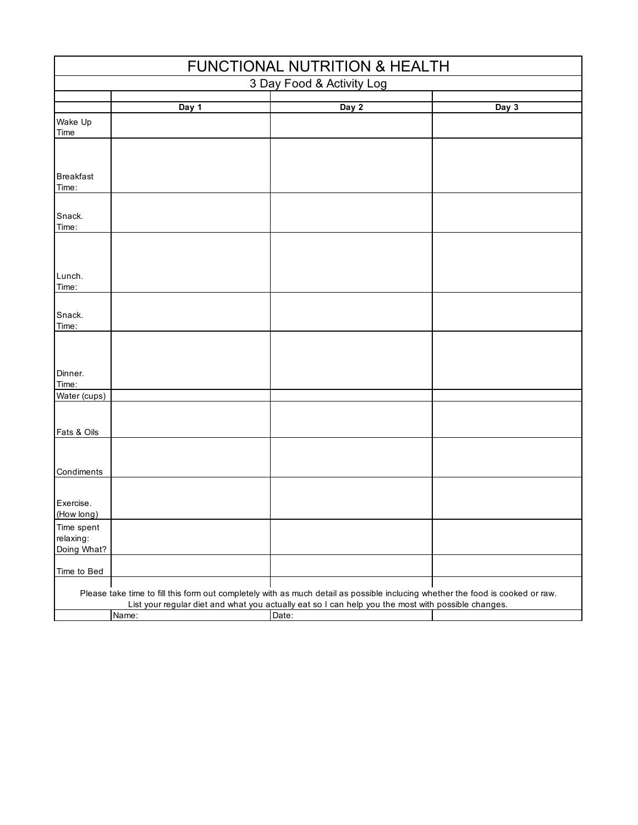| <b>FUNCTIONAL NUTRITION &amp; HEALTH</b> |       |                                                                                                                                                                                                                                               |       |  |  |  |  |
|------------------------------------------|-------|-----------------------------------------------------------------------------------------------------------------------------------------------------------------------------------------------------------------------------------------------|-------|--|--|--|--|
| 3 Day Food & Activity Log                |       |                                                                                                                                                                                                                                               |       |  |  |  |  |
|                                          | Day 1 | Day 2                                                                                                                                                                                                                                         | Day 3 |  |  |  |  |
| Wake Up<br>Time                          |       |                                                                                                                                                                                                                                               |       |  |  |  |  |
| <b>Breakfast</b>                         |       |                                                                                                                                                                                                                                               |       |  |  |  |  |
| Time:                                    |       |                                                                                                                                                                                                                                               |       |  |  |  |  |
| Snack.<br>Time:                          |       |                                                                                                                                                                                                                                               |       |  |  |  |  |
|                                          |       |                                                                                                                                                                                                                                               |       |  |  |  |  |
| Lunch.<br>Time:                          |       |                                                                                                                                                                                                                                               |       |  |  |  |  |
| Snack.<br>Time:                          |       |                                                                                                                                                                                                                                               |       |  |  |  |  |
| Dinner.<br>Time:                         |       |                                                                                                                                                                                                                                               |       |  |  |  |  |
| Water (cups)                             |       |                                                                                                                                                                                                                                               |       |  |  |  |  |
| Fats & Oils                              |       |                                                                                                                                                                                                                                               |       |  |  |  |  |
| Condiments                               |       |                                                                                                                                                                                                                                               |       |  |  |  |  |
| Exercise.<br>(How long)                  |       |                                                                                                                                                                                                                                               |       |  |  |  |  |
| Time spent<br>relaxing:<br>Doing What?   |       |                                                                                                                                                                                                                                               |       |  |  |  |  |
| Time to Bed                              |       |                                                                                                                                                                                                                                               |       |  |  |  |  |
|                                          | Name: | Please take time to fill this form out completely with as much detail as possible inclucing whether the food is cooked or raw.<br>List your regular diet and what you actually eat so I can help you the most with possible changes.<br>Date: |       |  |  |  |  |
|                                          |       |                                                                                                                                                                                                                                               |       |  |  |  |  |